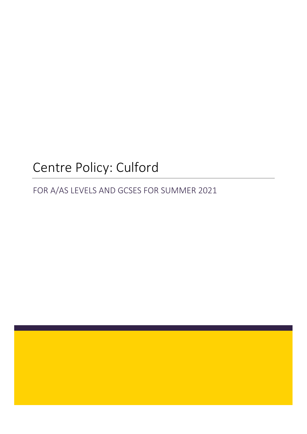# Centre Policy: Culford

FOR A/AS LEVELS AND GCSES FOR SUMMER 2021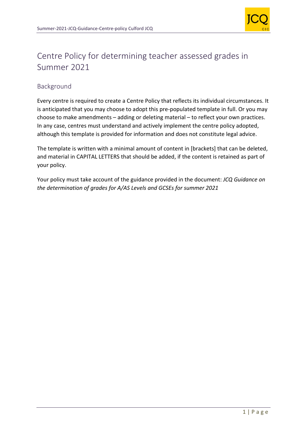

## Centre Policy for determining teacher assessed grades in Summer 2021

## Background

Every centre is required to create a Centre Policy that reflects its individual circumstances. It is anticipated that you may choose to adopt this pre-populated template in full. Or you may choose to make amendments – adding or deleting material – to reflect your own practices. In any case, centres must understand and actively implement the centre policy adopted, although this template is provided for information and does not constitute legal advice.

The template is written with a minimal amount of content in [brackets] that can be deleted, and material in CAPITAL LETTERS that should be added, if the content is retained as part of your policy.

Your policy must take account of the guidance provided in the document: *JCQ Guidance on the determination of grades for A/AS Levels and GCSEs for summer 2021*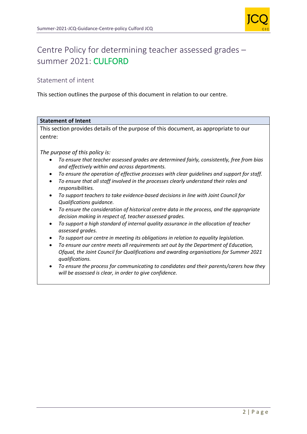

# Centre Policy for determining teacher assessed grades – summer 2021: CULFORD

## Statement of intent

This section outlines the purpose of this document in relation to our centre.

## **Statement of Intent** This section provides details of the purpose of this document, as appropriate to our centre: *The purpose of this policy is:* • *To ensure that teacher assessed grades are determined fairly, consistently, free from bias and effectively within and across departments.* • *To ensure the operation of effective processes with clear guidelines and support for staff.* • *To ensure that all staff involved in the processes clearly understand their roles and responsibilities.* • *To support teachers to take evidence-based decisions in line with Joint Council for Qualifications guidance.* • *To ensure the consideration of historical centre data in the process, and the appropriate decision making in respect of, teacher assessed grades.* • *To support a high standard of internal quality assurance in the allocation of teacher assessed grades.* • *To support our centre in meeting its obligations in relation to equality legislation.* • *To ensure our centre meets all requirements set out by the Department of Education, Ofqual, the Joint Council for Qualifications and awarding organisations for Summer 2021 qualifications.*  • *To ensure the process for communicating to candidates and their parents/carers how they will be assessed is clear, in order to give confidence.*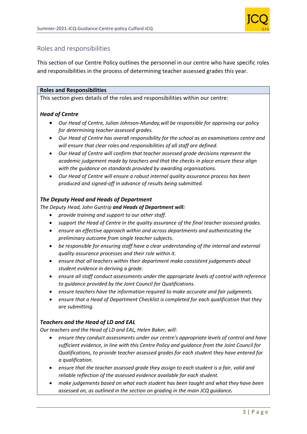

## Roles and responsibilities

This section of our Centre Policy outlines the personnel in our centre who have specific roles and responsibilities in the process of determining teacher assessed grades this year.

#### **Roles and Responsibilities**

This section gives details of the roles and responsibilities within our centre:

### *Head of Centre*

- *Our Head of Centre, Julian Johnson-Munday,will be responsible for approving our policy for determining teacher assessed grades.*
- *Our Head of Centre has overall responsibility for the school as an examinations centre and will ensure that clear roles and responsibilities of all staff are defined.*
- *Our Head of Centre will confirm that teacher assessed grade decisions represent the academic judgement made by teachers and that the checks in place ensure these align with the guidance on standards provided by awarding organisations.*
- *Our Head of Centre will ensure a robust internal quality assurance process has been produced and signed-off in advance of results being submitted.*

#### *The Deputy Head and Heads of Department*

*The Deputy Head, John Guntrip and Heads of Department will:*

- *provide training and support to our other staff.*
- *support the Head of Centre in the quality assurance of the final teacher assessed grades.*
- *ensure an effective approach within and across departments and authenticating the preliminary outcome from single teacher subjects.*
- *be responsible for ensuring staff have a clear understanding of the internal and external quality assurance processes and their role within it.*
- *ensure that all teachers within their department make consistent judgements about student evidence in deriving a grade.*
- *ensure all staff conduct assessments under the appropriate levels of control with reference to guidance provided by the Joint Council for Qualifications.*
- *ensure teachers have the information required to make accurate and fair judgments.*
- *ensure that a Head of Department Checklist is completed for each qualification that they are submitting.*

## *Teachers and the Head of LD and EAL*

*Our teachers and the Head of LD and EAL, Helen Baker, will:*

- *ensure they conduct assessments under our centre's appropriate levels of control and have sufficient evidence, in line with this Centre Policy and guidance from the Joint Council for Qualifications, to provide teacher assessed grades for each student they have entered for a qualification.*
- *ensure that the teacher assessed grade they assign to each student is a fair, valid and reliable reflection of the assessed evidence available for each student.*
- *make judgements based on what each student has been taught and what they have been assessed on, as outlined in the section on grading in the main JCQ guidance.*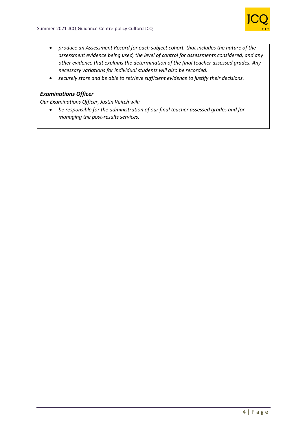

- *produce an Assessment Record for each subject cohort, that includes the nature of the assessment evidence being used, the level of control for assessments considered, and any other evidence that explains the determination of the final teacher assessed grades. Any necessary variations for individual students will also be recorded.*
- *securely store and be able to retrieve sufficient evidence to justify their decisions.*

## *Examinations Officer*

*Our Examinations Officer, Justin Veitch will:*

• *be responsible for the administration of our final teacher assessed grades and for managing the post-results services.*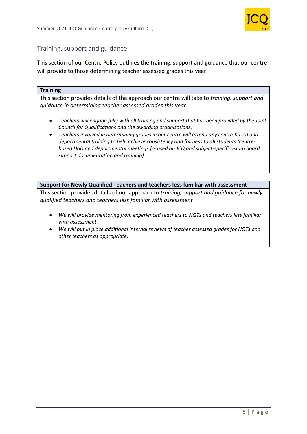

## Training, support and guidance

This section of our Centre Policy outlines the training, support and guidance that our centre will provide to those determining teacher assessed grades this year.

#### **Training**

This section provides details of the approach our centre will take to *training, support and guidance in determining teacher assessed grades this year*

- *Teachers will engage fully with all training and support that has been provided by the Joint Council for Qualifications and the awarding organisations.*
- *Teachers involved in determining grades in our centre will attend any centre-based and departmental training to help achieve consistency and fairness to all students (centrebased HoD and departmental meetings focused on JCQ and subject-specific exam board support documentation and training).*

#### **Support for Newly Qualified Teachers and teachers less familiar with assessment**

This section provides details of our approach to *training, support and guidance for newly qualified teachers and teachers less familiar with assessment*

- *We will provide mentoring from experienced teachers to NQTs and teachers less familiar with assessment.*
- *We will put in place additional internal reviews of teacher assessed grades for NQTs and other teachers as appropriate.*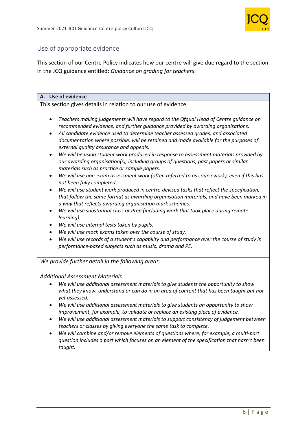

## Use of appropriate evidence

This section of our Centre Policy indicates how our centre will give due regard to the section in the JCQ guidance entitled: *Guidance on grading for teachers*.

#### **A. Use of evidence**

This section gives details in relation to our use of evidence.

- *Teachers making judgements will have regard to the Ofqual Head of Centre guidance on recommended evidence, and further guidance provided by awarding organisations.*
- *All candidate evidence used to determine teacher assessed grades, and associated documentation where possible, will be retained and made available for the purposes of external quality assurance and appeals.*
- *We will be using student work produced in response to assessment materials provided by our awarding organisation(s), including groups of questions, past papers or similar materials such as practice or sample papers.*
- *We will use non-exam assessment work (often referred to as coursework), even if this has not been fully completed.*
- *We will use student work produced in centre-devised tasks that reflect the specification, that follow the same format as awarding organisation materials, and have been marked in a way that reflects awarding organisation mark schemes.*
- *We will use substantial class or Prep (including work that took place during remote learning).*
- *We will use internal tests taken by pupils.*
- *We will use mock exams taken over the course of study.*
- *We will use records of a student's capability and performance over the course of study in performance-based subjects such as music, drama and PE.*

*We provide further detail in the following areas:*

#### *Additional Assessment Materials*

- *We will use additional assessment materials to give students the opportunity to show what they know, understand or can do in an area of content that has been taught but not yet assessed.*
- *We will use additional assessment materials to give students an opportunity to show improvement, for example, to validate or replace an existing piece of evidence.*
- *We will use additional assessment materials to support consistency of judgement between teachers or classes by giving everyone the same task to complete.*
- *We will combine and/or remove elements of questions where, for example, a multi-part question includes a part which focuses on an element of the specification that hasn't been taught.*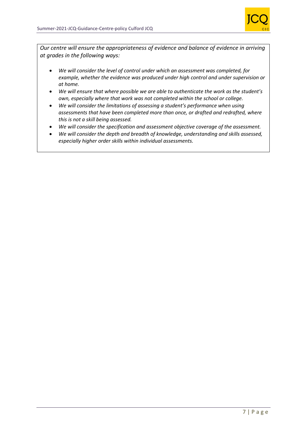

*Our centre will ensure the appropriateness of evidence and balance of evidence in arriving at grades in the following ways:*

- *We will consider the level of control under which an assessment was completed, for example, whether the evidence was produced under high control and under supervision or at home.*
- *We will ensure that where possible we are able to authenticate the work as the student's own, especially where that work was not completed within the school or college.*
- *We will consider the limitations of assessing a student's performance when using assessments that have been completed more than once, or drafted and redrafted, where this is not a skill being assessed.*
- *We will consider the specification and assessment objective coverage of the assessment.*
- *We will consider the depth and breadth of knowledge, understanding and skills assessed, especially higher order skills within individual assessments.*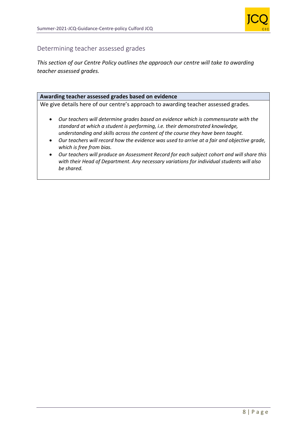

## Determining teacher assessed grades

*This section of our Centre Policy outlines the approach our centre will take to awarding teacher assessed grades.*

#### **Awarding teacher assessed grades based on evidence**

We give details here of our centre's approach to awarding teacher assessed grades*.*

- *Our teachers will determine grades based on evidence which is commensurate with the standard at which a student is performing, i.e. their demonstrated knowledge, understanding and skills across the content of the course they have been taught.*
- *Our teachers will record how the evidence was used to arrive at a fair and objective grade, which is free from bias.*
- *Our teachers will produce an Assessment Record for each subject cohort and will share this with their Head of Department. Any necessary variations for individual students will also be shared.*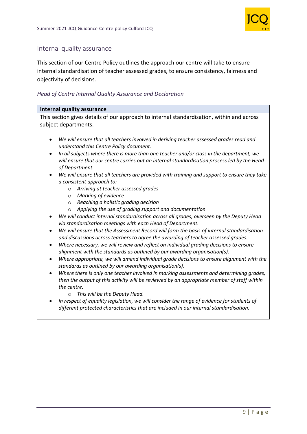

## Internal quality assurance

This section of our Centre Policy outlines the approach our centre will take to ensure internal standardisation of teacher assessed grades, to ensure consistency, fairness and objectivity of decisions.

### *Head of Centre Internal Quality Assurance and Declaration*

#### **Internal quality assurance**

This section gives details of our approach to internal standardisation, within and across subject departments.

- *We will ensure that all teachers involved in deriving teacher assessed grades read and understand this Centre Policy document.*
- *In all subjects where there is more than one teacher and/or class in the department, we will ensure that our centre carries out an internal standardisation process led by the Head of Department.*
- *We will ensure that all teachers are provided with training and support to ensure they take a consistent approach to:*
	- o *Arriving at teacher assessed grades*
	- o *Marking of evidence*
	- o *Reaching a holistic grading decision*
	- o *Applying the use of grading support and documentation*
- *We will conduct internal standardisation across all grades, overseen by the Deputy Head via standardisation meetings with each Head of Department.*
- *We will ensure that the Assessment Record will form the basis of internal standardisation and discussions across teachers to agree the awarding of teacher assessed grades.*
- *Where necessary, we will review and reflect on individual grading decisions to ensure alignment with the standards as outlined by our awarding organisation(s).*
- *Where appropriate, we will amend individual grade decisions to ensure alignment with the standards as outlined by our awarding organisation(s).*
- *Where there is only one teacher involved in marking assessments and determining grades, then the output of this activity will be reviewed by an appropriate member of staff within the centre.*
	- o *This will be the Deputy Head.*
- *In respect of equality legislation, we will consider the range of evidence for students of different protected characteristics that are included in our internal standardisation.*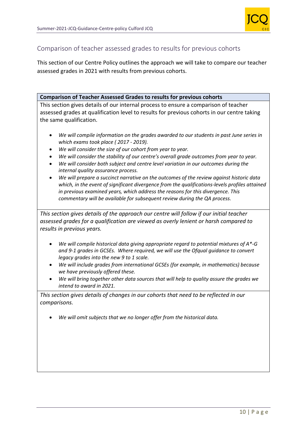

## Comparison of teacher assessed grades to results for previous cohorts

This section of our Centre Policy outlines the approach we will take to compare our teacher assessed grades in 2021 with results from previous cohorts.

#### **Comparison of Teacher Assessed Grades to results for previous cohorts**

This section gives details of our internal process to ensure a comparison of teacher assessed grades at qualification level to results for previous cohorts in our centre taking the same qualification.

- *We will compile information on the grades awarded to our students in past June series in which exams took place ( 2017 - 2019).*
- *We will consider the size of our cohort from year to year.*
- *We will consider the stability of our centre's overall grade outcomes from year to year.*
- *We will consider both subject and centre level variation in our outcomes during the internal quality assurance process.*
- *We will prepare a succinct narrative on the outcomes of the review against historic data which, in the event of significant divergence from the qualifications-levels profiles attained in previous examined years, which address the reasons for this divergence. This commentary will be available for subsequent review during the QA process.*

*This section gives details of the approach our centre will follow if our initial teacher assessed grades for a qualification are viewed as overly lenient or harsh compared to results in previous years.*

- *We will compile historical data giving appropriate regard to potential mixtures of A\*-G and 9-1 grades in GCSEs. Where required, we will use the Ofqual guidance to convert legacy grades into the new 9 to 1 scale.*
- *We will include grades from international GCSEs (for example, in mathematics) because we have previously offered these.*
- *We will bring together other data sources that will help to quality assure the grades we intend to award in 2021.*

*This section gives details of changes in our cohorts that need to be reflected in our comparisons.* 

• *We will omit subjects that we no longer offer from the historical data.*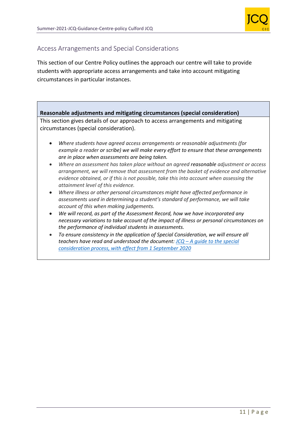

## Access Arrangements and Special Considerations

This section of our Centre Policy outlines the approach our centre will take to provide students with appropriate access arrangements and take into account mitigating circumstances in particular instances.

## **Reasonable adjustments and mitigating circumstances (special consideration)**

This section gives details of our approach to access arrangements and mitigating circumstances (special consideration).

- *Where students have agreed access arrangements or reasonable adjustments (for example a reader or scribe) we will make every effort to ensure that these arrangements are in place when assessments are being taken.*
- *Where an assessment has taken place without an agreed reasonable adjustment or access arrangement, we will remove that assessment from the basket of evidence and alternative evidence obtained, or if this is not possible, take this into account when assessing the attainment level of this evidence.*
- *Where illness or other personal circumstances might have affected performance in assessments used in determining a student's standard of performance, we will take account of this when making judgements.*
- *We will record, as part of the Assessment Record, how we have incorporated any necessary variations to take account of the impact of illness or personal circumstances on the performance of individual students in assessments.*
- *To ensure consistency in the application of Special Consideration, we will ensure all teachers have read and understood the document: JCQ – [A guide to the special](https://www.jcq.org.uk/wp-content/uploads/2020/08/A-guide-to-the-spec-con-process-202021-Website-version.pdf)  [consideration process, with effect from 1 September 2020](https://www.jcq.org.uk/wp-content/uploads/2020/08/A-guide-to-the-spec-con-process-202021-Website-version.pdf)*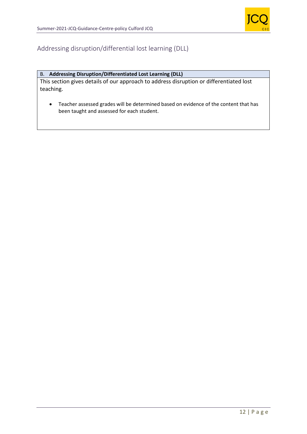

## Addressing disruption/differential lost learning (DLL)

## B. **Addressing Disruption/Differentiated Lost Learning (DLL)**

This section gives details of our approach to address disruption or differentiated lost teaching.

• Teacher assessed grades will be determined based on evidence of the content that has been taught and assessed for each student.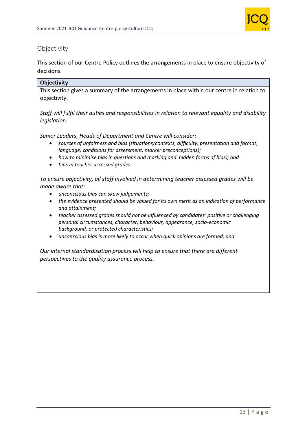

## **Objectivity**

This section of our Centre Policy outlines the arrangements in place to ensure objectivity of decisions.

## **Objectivity**

This section gives a summary of the arrangements in place within our centre in relation to objectivity.

*Staff will fulfil their duties and responsibilities in relation to relevant equality and disability legislation.*

*Senior Leaders, Heads of Department and Centre will consider:*

- *sources of unfairness and bias (situations/contexts, difficulty, presentation and format, language, conditions for assessment, marker preconceptions);*
- *how to minimise bias in questions and marking and hidden forms of bias); and*
- *bias in teacher assessed grades.*

*To ensure objectivity, all staff involved in determining teacher assessed grades will be made aware that:*

- *unconscious bias can skew judgements;*
- *the evidence presented should be valued for its own merit as an indication of performance and attainment;*
- *teacher assessed grades should not be influenced by candidates' positive or challenging personal circumstances, character, behaviour, appearance, socio-economic background, or protected characteristics;*
- *unconscious bias is more likely to occur when quick opinions are formed; and*

*Our internal standardisation process will help to ensure that there are different perspectives to the quality assurance process.*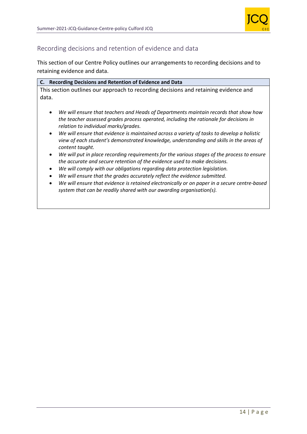

## Recording decisions and retention of evidence and data

This section of our Centre Policy outlines our arrangements to recording decisions and to retaining evidence and data.

| C. Recording Decisions and Retention of Evidence and Data                                               |
|---------------------------------------------------------------------------------------------------------|
| This section outlines our approach to recording decisions and retaining evidence and                    |
| data.                                                                                                   |
|                                                                                                         |
| We will ensure that teachers and Heads of Departments maintain records that show how<br>$\bullet$       |
| the teacher assessed grades process operated, including the rationale for decisions in                  |
| relation to individual marks/grades.                                                                    |
| We will ensure that evidence is maintained across a variety of tasks to develop a holistic<br>$\bullet$ |
| view of each student's demonstrated knowledge, understanding and skills in the areas of                 |
| content taught.                                                                                         |
|                                                                                                         |

- *We will put in place recording requirements for the various stages of the process to ensure the accurate and secure retention of the evidence used to make decisions.*
- *We will comply with our obligations regarding data protection legislation.*
- *We will ensure that the grades accurately reflect the evidence submitted.*
- *We will ensure that evidence is retained electronically or on paper in a secure centre-based system that can be readily shared with our awarding organisation(s).*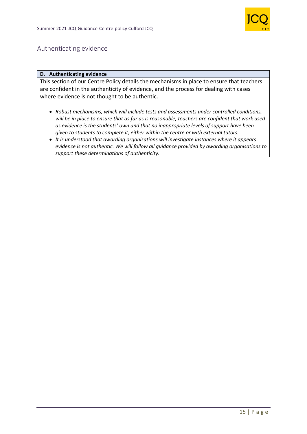

## Authenticating evidence

#### **D. Authenticating evidence**

This section of our Centre Policy details the mechanisms in place to ensure that teachers are confident in the authenticity of evidence, and the process for dealing with cases where evidence is not thought to be authentic.

- *Robust mechanisms, which will include tests and assessments under controlled conditions, will be in place to ensure that as far as is reasonable, teachers are confident that work used as evidence is the students' own and that no inappropriate levels of support have been given to students to complete it, either within the centre or with external tutors.*
- *It is understood that awarding organisations will investigate instances where it appears evidence is not authentic. We will follow all guidance provided by awarding organisations to support these determinations of authenticity.*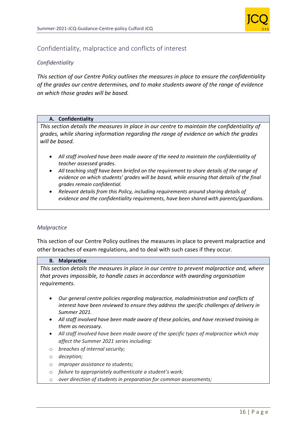

## Confidentiality, malpractice and conflicts of interest

### *Confidentiality*

*This section of our Centre Policy outlines the measures in place to ensure the confidentiality of the grades our centre determines, and to make students aware of the range of evidence on which those grades will be based.*

#### **A. Confidentiality**

*This section details the measures in place in our centre to maintain the confidentiality of grades, while sharing information regarding the range of evidence on which the grades will be based.* 

- *All staff involved have been made aware of the need to maintain the confidentiality of teacher assessed grades.*
- *All teaching staff have been briefed on the requirement to share details of the range of evidence on which students' grades will be based, while ensuring that details of the final grades remain confidential.*
- *Relevant details from this Policy, including requirements around sharing details of evidence and the confidentiality requirements, have been shared with parents/guardians.*

#### *Malpractice*

This section of our Centre Policy outlines the measures in place to prevent malpractice and other breaches of exam regulations, and to deal with such cases if they occur.

#### **B. Malpractice**

*This section details the measures in place in our centre to prevent malpractice and, where that proves impossible, to handle cases in accordance with awarding organisation requirements.*

- *Our general centre policies regarding malpractice, maladministration and conflicts of interest have been reviewed to ensure they address the specific challenges of delivery in Summer 2021.*
- *All staff involved have been made aware of these policies, and have received training in them as necessary.*
- *All staff involved have been made aware of the specific types of malpractice which may affect the Summer 2021 series including:*
- o *breaches of internal security;*
- o *deception;*
- o *improper assistance to students;*
- o *failure to appropriately authenticate a student's work;*
- o *over direction of students in preparation for common assessments;*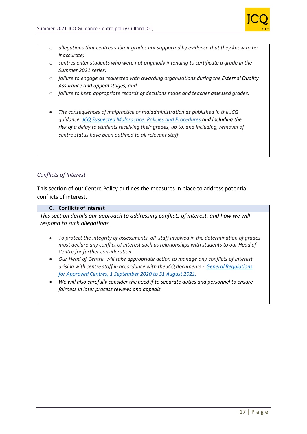

- o *allegations that centres submit grades not supported by evidence that they know to be inaccurate;*
- o *centres enter students who were not originally intending to certificate a grade in the Summer 2021 series;*
- o *failure to engage as requested with awarding organisations during the External Quality Assurance and appeal stages; and*
- o *failure to keep appropriate records of decisions made and teacher assessed grades.*
- *The consequences of malpractice or maladministration as published in the JCQ guidance: [JCQ Suspected](https://www.jcq.org.uk/exams-office/malpractice/jcq-suspected-malpractice-policies-and-procedures-2019-2020) Malpractice: Policies and Procedures and including the risk of a delay to students receiving their grades, up to, and including, removal of centre status have been outlined to all relevant staff.*

### *Conflicts of Interest*

This section of our Centre Policy outlines the measures in place to address potential conflicts of interest.

#### **C. Conflicts of Interest**

*This section details our approach to addressing conflicts of interest, and how we will respond to such allegations.*

- *To protect the integrity of assessments, all staff involved in the determination of grades must declare any conflict of interest such as relationships with students to our Head of Centre for further consideration.*
- *Our Head of Centre will take appropriate action to manage any conflicts of interest arising with centre staff in accordance with the JCQ documents- [General Regulations](https://www.jcq.org.uk/wp-content/uploads/2020/09/Gen_regs_approved_centres_20-21_FINAL.pdf)  [for Approved Centres, 1 September 2020 to 31 August 2021.](https://www.jcq.org.uk/wp-content/uploads/2020/09/Gen_regs_approved_centres_20-21_FINAL.pdf)*
- *We will also carefully consider the need if to separate duties and personnel to ensure fairness in later process reviews and appeals.*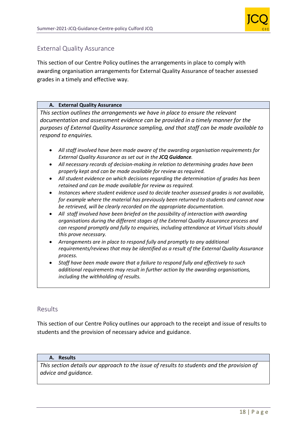

## External Quality Assurance

This section of our Centre Policy outlines the arrangements in place to comply with awarding organisation arrangements for External Quality Assurance of teacher assessed grades in a timely and effective way.

#### **A. External Quality Assurance**

*This section outlines the arrangements we have in place to ensure the relevant documentation and assessment evidence can be provided in a timely manner for the purposes of External Quality Assurance sampling, and that staff can be made available to respond to enquiries.*

- *All staff involved have been made aware of the awarding organisation requirements for External Quality Assurance as set out in the JCQ Guidance.*
- *All necessary records of decision-making in relation to determining grades have been properly kept and can be made available for review as required.*
- *All student evidence on which decisions regarding the determination of grades has been retained and can be made available for review as required.*
- *Instances where student evidence used to decide teacher assessed grades is not available, for example where the material has previously been returned to students and cannot now be retrieved, will be clearly recorded on the appropriate documentation.*
- *All staff involved have been briefed on the possibility of interaction with awarding organisations during the different stages of the External Quality Assurance process and can respond promptly and fully to enquiries, including attendance at Virtual Visits should this prove necessary.*
- *Arrangements are in place to respond fully and promptly to any additional requirements/reviews that may be identified as a result of the External Quality Assurance process.*
- *Staff have been made aware that a failure to respond fully and effectively to such additional requirements may result in further action by the awarding organisations, including the withholding of results.*

## Results

This section of our Centre Policy outlines our approach to the receipt and issue of results to students and the provision of necessary advice and guidance.

#### **A. Results**

*This section details our approach to the issue of results to students and the provision of advice and guidance.*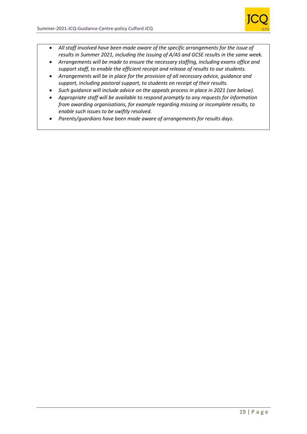

- *All staff involved have been made aware of the specific arrangements for the issue of results in Summer 2021, including the issuing of A/AS and GCSE results in the same week.*
- *Arrangements will be made to ensure the necessary staffing, including exams office and support staff, to enable the efficient receipt and release of results to our students.*
- *Arrangements will be in place for the provision of all necessary advice, guidance and support, including pastoral support, to students on receipt of their results.*
- *Such guidance will include advice on the appeals process in place in 2021 (see below).*
- *Appropriate staff will be available to respond promptly to any requests for information from awarding organisations, for example regarding missing or incomplete results, to enable such issues to be swiftly resolved.*
- *Parents/guardians have been made aware of arrangements for results days.*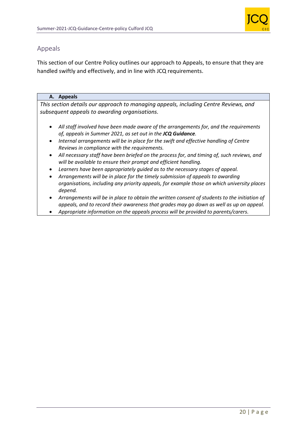

## Appeals

This section of our Centre Policy outlines our approach to Appeals, to ensure that they are handled swiftly and effectively, and in line with JCQ requirements.

#### **A. Appeals**

*This section details our approach to managing appeals, including Centre Reviews, and subsequent appeals to awarding organisations.*

- *All staff involved have been made aware of the arrangements for, and the requirements of, appeals in Summer 2021, as set out in the JCQ Guidance.*
- *Internal arrangements will be in place for the swift and effective handling of Centre Reviews in compliance with the requirements.*
- *All necessary staff have been briefed on the process for, and timing of, such reviews, and will be available to ensure their prompt and efficient handling.*
- *Learners have been appropriately guided as to the necessary stages of appeal.*
- *Arrangements will be in place for the timely submission of appeals to awarding organisations, including any priority appeals, for example those on which university places depend.*
- *Arrangements will be in place to obtain the written consent of students to the initiation of appeals, and to record their awareness that grades may go down as well as up on appeal.*
- *Appropriate information on the appeals process will be provided to parents/carers*.